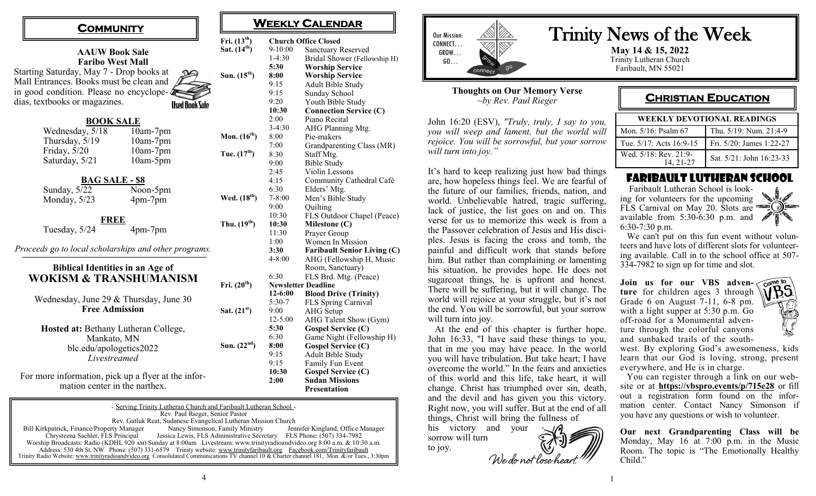| COMMUNITY                                                    |                                         |                       |                          | WEEKL'              |  |
|--------------------------------------------------------------|-----------------------------------------|-----------------------|--------------------------|---------------------|--|
|                                                              |                                         |                       | Fri. $(13^{th})$         | Church              |  |
|                                                              |                                         |                       | Sat. $(14^{th})$         | 9-10:00             |  |
| <b>AAUW Book Sale</b>                                        |                                         |                       |                          |                     |  |
| <b>Faribo West Mall</b>                                      |                                         |                       |                          |                     |  |
| Starting Saturday, May 7 - Drop books at<br>Sun. $(15^{th})$ |                                         |                       |                          |                     |  |
| Mall Entrances. Books must be clean and                      |                                         |                       |                          |                     |  |
| in good condition. Please no encyclope- $\triangle$          |                                         |                       |                          |                     |  |
|                                                              | dias, textbooks or magazines.           | <b>Used Book Sale</b> |                          | 9:20                |  |
|                                                              | <b>BOOK SALE</b>                        |                       |                          | 10:30               |  |
|                                                              |                                         | 2:00                  |                          |                     |  |
|                                                              | Wednesday, 5/18                         | 10am-7pm              |                          | $3-4:30$            |  |
|                                                              | Thursday, 5/19                          | 10am-7pm              | Mon. $(16th)$            | 8:00                |  |
|                                                              | Friday, 5/20                            | 10am-7pm              |                          | 7:00                |  |
|                                                              | Saturday, 5/21                          | 10am-5pm              | Tue. $(17^{th})$         | 8:30                |  |
|                                                              |                                         |                       |                          | 9:00                |  |
|                                                              | <b>BAG SALE - \$8</b>                   |                       |                          | 2:45                |  |
|                                                              |                                         |                       |                          | 4:15<br>6:30        |  |
|                                                              | Sunday, 5/22                            | Noon-5pm              | Wed. (18 <sup>th</sup> ) | $7 - 8:00$          |  |
|                                                              | Monday, 5/23                            | 4pm-7pm               |                          | 9:00                |  |
|                                                              |                                         |                       |                          | 10:30               |  |
| FREE                                                         |                                         |                       | Thu. $(19th)$            | 10:30               |  |
|                                                              | Tuesday, 5/24                           | 4pm-7pm               |                          | 11:30               |  |
|                                                              |                                         |                       |                          | 1:00                |  |
| Proceeds go to local scholarships and other programs.        |                                         |                       |                          |                     |  |
|                                                              |                                         |                       |                          |                     |  |
|                                                              | <b>Biblical Identities in an Age of</b> |                       |                          |                     |  |
| <b>WOKISM &amp; TRANSHUMANISM</b>                            |                                         |                       |                          |                     |  |
| Fri. $(20^{th})$                                             |                                         |                       |                          |                     |  |
| Wednesday, June 29 & Thursday, June 30                       |                                         |                       |                          |                     |  |
|                                                              |                                         | $5:30-7$              |                          |                     |  |
|                                                              | <b>Free Admission</b>                   |                       | Sat. $(21^{st})$         | 9:00                |  |
|                                                              |                                         |                       |                          | $12 - 5:00$<br>5:30 |  |
| Hosted at: Bethany Lutheran College,<br>Mankato, MN          |                                         |                       |                          |                     |  |
|                                                              |                                         | 6:30<br>8:00          |                          |                     |  |
| Sun. $(22nd)$<br>blc.edu/apologetics2022                     |                                         |                       |                          |                     |  |
| Livestreamed                                                 |                                         |                       |                          |                     |  |
|                                                              |                                         |                       |                          |                     |  |
| For more information, pick up a flyer at the infor-          |                                         |                       |                          |                     |  |
| mation center in the narthex.                                |                                         |                       |                          |                     |  |

- Serving Trinity Lutheran Church and Faribault Lutheran School - Rev. Paul Rieger, Senior Pastor Rev. Gatluk Reat, Sudanese Evangelical Lutheran Mission Church<br>
rty Manager Mancy Simonson, Family Ministry Jennifer Kingland, Office Manager Bill Kirkpatrick, Finance/Property Manager<br>Chrysteena Saehler, FLS Principal Jessica Lewis, FLS Administrative Secretary FLS Phone: (507) 334-7982 Worship Broadcasts: Radio (KDHL 920 am) Sunday at 8:00am Livestream: www.trinityradioandvideo.org 8:00 a.m. & 10:30 a.m. Address: 530 4th St. NW Phone: (507) 331-6579 Trinity website: www.trinityfaribault.org Facebook.com/Trinityfaribault Trinity Radio Website: www.trinityradioandvideo.org Consolidated Communications TV channel 10 & Charter channel 181, Mon.  $\&$  /or Tues.

4

## **WEEKLY CALENDAR**

| Fri. (13 <sup>th</sup> ) | <b>Church Office Closed</b> |                                    |  |
|--------------------------|-----------------------------|------------------------------------|--|
| Sat. $(14^{th})$         | 9-10:00                     | <b>Sanctuary Reserved</b>          |  |
|                          | $1-4:30$                    | Bridal Shower (Fellowship H)       |  |
|                          | 5:30                        | <b>Worship Service</b>             |  |
| Sun. $(15^{\text{th}})$  | 8:00                        | <b>Worship Service</b>             |  |
|                          | 9:15                        | <b>Adult Bible Study</b>           |  |
|                          | 9:15                        | Sunday School                      |  |
|                          | 9:20                        | Youth Bible Study                  |  |
|                          | 10:30                       | <b>Connection Service (C)</b>      |  |
|                          | 2:00                        | Piano Recital                      |  |
|                          | $3-4:30$                    | AHG Planning Mtg.                  |  |
| Mon. (16 <sup>th</sup> ) | 8:00                        | Pie-makers                         |  |
|                          | 7:00                        | Grandparenting Class (MR)          |  |
| Tue. (17 <sup>th</sup> ) | 8:30                        | Staff Mtg.                         |  |
|                          | 9:00                        | <b>Bible Study</b>                 |  |
|                          | 2:45                        | Violin Lessons                     |  |
|                          | 4:15                        | Community Cathedral Café           |  |
|                          | 6:30                        | Elders' Mtg.                       |  |
| Wed. (18 <sup>th</sup> ) | $7 - 8:00$                  | Men's Bible Study                  |  |
|                          | 9:00                        | Quilting                           |  |
|                          | 10:30                       | FLS Outdoor Chapel (Peace)         |  |
| Thu. (19 <sup>th</sup> ) | 10:30                       | Milestone $(C)$                    |  |
|                          | 11:30                       | Prayer Group                       |  |
|                          | 1:00                        | Women In Mission                   |  |
|                          | 3:30                        | <b>Faribault Senior Living (C)</b> |  |
|                          | $4 - 8:00$                  | AHG (Fellowship H, Music           |  |
|                          |                             | Room, Sanctuary)                   |  |
|                          | 6:30                        | FLS Brd. Mtg. (Peace)              |  |
| Fri. (20 <sup>th</sup> ) | <b>Newsletter Deadline</b>  |                                    |  |
|                          | 12-6:00                     | <b>Blood Drive (Trinity)</b>       |  |
|                          | 5:30-7                      | FLS Spring Carnival                |  |
| Sat. $(21st)$            | 9:00                        | <b>AHG</b> Setup                   |  |
|                          | $12 - 5:00$                 | AHG Talent Show (Gym)              |  |
|                          | 5:30                        | <b>Gospel Service (C)</b>          |  |
|                          | 6:30                        | Game Night (Fellowship H)          |  |
| Sun. $(22nd)$            | 8:00                        | <b>Gospel Service (C)</b>          |  |
|                          | 9:15                        | Adult Bible Study                  |  |
|                          | 9:15                        | Family Fun Event                   |  |
|                          | 10:30                       | <b>Gospel Service (C)</b>          |  |
|                          | 2:00                        | <b>Sudan Missions</b>              |  |
|                          |                             | <b>Presentation</b>                |  |



#### **Thoughts on Our Memory Verse** *~by Rev. Paul Rieger*

John 16:20 (ESV), *"Truly, truly, I say to you, you will weep and lament, but the world will rejoice. You will be sorrowful, but your sorrow will turn into joy."*

It's hard to keep realizing just how bad things are, how hopeless things feel. We are fearful of the future of our families, friends, nation, and world. Unbelievable hatred, tragic suffering, lack of justice, the list goes on and on. This verse for us to memorize this week is from a the Passover celebration of Jesus and His disciples. Jesus is facing the cross and tomb, the painful and difficult work that stands before him. But rather than complaining or lamenting his situation, he provides hope. He does not sugarcoat things, he is upfront and honest. There will be suffering, but it will change. The world will rejoice at your struggle, but it's not the end. You will be sorrowful, but your sorrow will turn into joy.

 At the end of this chapter is further hope. John 16:33, "I have said these things to you, that in me you may have peace. In the world you will have tribulation. But take heart; I have overcome the world." In the fears and anxieties of this world and this life, take heart, it will change. Christ has triumphed over sin, death, and the devil and has given you this victory. Right now, you will suffer. But at the end of all things, Christ will bring the fullness of

his victory and your sorrow will turn to joy.

We do not lose hear

# Trinity News of the Week

**May 14 & 15, 2022** Trinity Lutheran Church Faribault, MN 55021

### **CHRISTIAN EDUCATION**

| <b>WEEKLY DEVOTIONAL READINGS</b> |                          |  |  |  |
|-----------------------------------|--------------------------|--|--|--|
| Mon. 5/16: Psalm 67               | Thu. 5/19: Num. 21:4-9   |  |  |  |
| Tue. 5/17: Acts 16:9-15           | Fri. 5/20: James 1:22-27 |  |  |  |
| Wed. 5/18: Rev. 21:9-<br>14.21-27 | Sat. 5/21: John 16:23-33 |  |  |  |

### Faribault Lutheran School

 Faribault Lutheran School is looking for volunteers for the upcoming FLS Carnival on May 20. Slots are steel O available from 5:30-6:30 p.m. and 6:30-7:30 p.m.



 We can't put on this fun event without volunteers and have lots of different slots for volunteering available. Call in to the school office at 507- 334-7982 to sign up for time and slot.

Join us for our VBS adven- come to **ture** for children ages 3 through Grade 6 on August 7-11, 6-8 pm. with a light supper at 5:30 p.m. Go off-road for a Monumental adventure through the colorful canyons and sunbaked trails of the south-



west. By exploring God's awesomeness, kids learn that our God is loving, strong, present everywhere, and He is in charge.

 You can register through a link on our website or at **<https://vbspro.events/p/715e28>** or fill out a registration form found on the information center. Contact Nancy Simonson if you have any questions or wish to volunteer.

**Our next Grandparenting Class will be** Monday, May 16 at 7:00 p.m. in the Music Room. The topic is "The Emotionally Healthy Child."